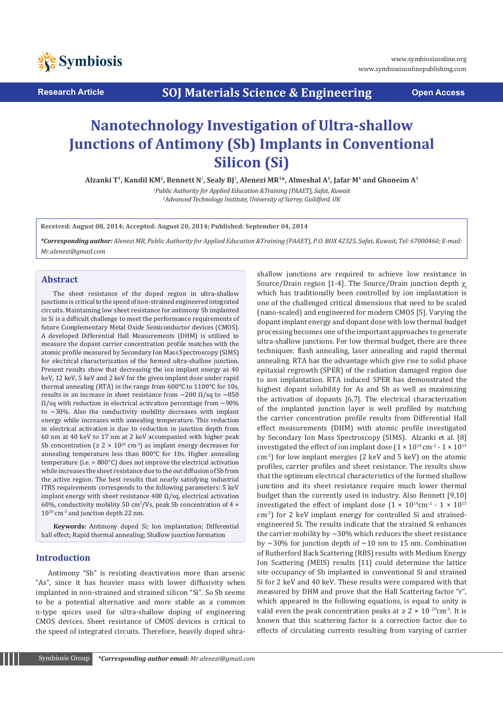

**Research Article SOJ Materials Science & Engineering Open Access**

# **Nanotechnology Investigation of Ultra-shallow Junctions of Antimony (Sb) Implants in Conventional Silicon (Si)**

Alzanki T<sup>1</sup>, Kandil KM<sup>1</sup>, Bennett N², Sealy BJ², Alenezi MR<sup>1\*,</sup> Almeshal A<sup>1</sup>, Jafar M<sup>1</sup> and Ghoneim A<sup>1</sup>

*1 Public Authority for Applied Education &Training (PAAET), Safat, Kuwait 2 Advanced Technology Institute, University of Surrey, Guildford, UK*

**Received: August 08, 2014; Accepted: August 20, 2014; Published: September 04, 2014**

*\*Corresponding author: Alenezi MR, Public Authority for Applied Education &Training (PAAET), P.O. BOX 42325, Safat, Kuwait, Tel: 67000460; E-mail: Mr.alenezi@gmail.com*

#### **Abstract**

The sheet resistance of the doped region in ultra-shallow junctions is critical to the speed of non-strained engineered integrated circuits. Maintaining low sheet resistance for antimony Sb implanted in Si is a difficult challenge to meet the performance requirements of future Complementary Metal Oxide Semiconductor devices (CMOS). A developed Differential Hall Measurements (DHM) is utilized to measure the dopant carrier concentration profile matches with the atomic profile measured by Secondary Ion Mass Spectroscopy (SIMS) for electrical characterization of the formed ultra-shallow junction. Present results show that decreasing the ion implant energy as 40 keV, 12 keV, 5 keV and 2 keV for the given implant dose under rapid thermal annealing (RTA) in the range from 600°C to 1100°C for 10s, results in an increase in sheet resistance from  $\sim$ 200  $\Omega$ /sq to  $\sim$ 850  $\Omega$ /sq with reduction in electrical activation percentage from ~90% to  $\sim$ 30%. Also the conductivity mobility decreases with implant energy while increases with annealing temperature. This reduction in electrical activation is due to reduction in junction depth from 60 nm at 40 keV to 17 nm at 2 keV accompanied with higher peak Sb concentration ( $\geq 2 \times 10^{20}$  cm<sup>-3</sup>) as implant energy decreases for annealing temperature less than 800°C for 10s. Higher annealing temperature (i.e. > 800°C) does not improve the electrical activation while increases the sheet resistance due to the out diffusion of Sb from the active region. The best results that nearly satisfying industrial ITRS requirements corresponds to the following parameters: 5 keV implant energy with sheet resistance 400  $\Omega$ /sq, electrical activation 60%, conductivity mobility 50  $\text{cm}^2/\text{Vs}$ , peak Sb concentration of 4  $\times$  $10^{20}$  cm<sup>-3</sup> and junction depth 22 nm.

**Keywords:** Antimony doped Si; Ion implantation; Differential hall effect; Rapid thermal annealing; Shallow junction formation

## **Introduction**

Antimony "Sb" is resisting deactivation more than arsenic "As", since it has heavier mass with lower diffusivity when implanted in non-strained and strained silicon "Si". So Sb seems to be a potential alternative and more stable as a common n-type spices used for ultra-shallow doping of engineering CMOS devices. Sheet resistance of CMOS devices is critical to the speed of integrated circuits. Therefore, heavily doped ultra-

shallow junctions are required to achieve low resistance in Source/Drain region [1-4]. The Source/Drain junction depth  $χ$ . which has traditionally been controlled by ion implantation is one of the challenged critical dimensions that need to be scaled (nano-scaled) and engineered for modern CMOS [5]. Varying the dopant implant energy and dopant dose with low thermal budget processing becomes one of the important approaches to generate ultra-shallow junctions. For low thermal budget, there are three techniques: flash annealing, laser annealing and rapid thermal annealing. RTA has the advantage which give rise to solid phase epitaxial regrowth (SPER) of the radiation damaged region due to ion implantation. RTA induced SPER has demonstrated the highest dopant solubility for As and Sb as well as maximizing the activation of dopants [6,7]. The electrical characterization of the implanted junction layer is well profiled by matching the carrier concentration profile results from Differential Hall effect measurements (DHM) with atomic profile investigated by Secondary Ion Mass Spectroscopy (SIMS). Alzanki et al. [8] investigated the effect of ion implant dose (1 × 10<sup>14</sup> cm<sup>-2</sup> - 1 × 10<sup>15</sup> cm-2) for low implant energies (2 keV and 5 keV) on the atomic profiles, carrier profiles and sheet resistance. The results show that the optimum electrical characteristics of the formed shallow junction and its sheet resistance require much lower thermal budget than the currently used in industry. Also Bennett [9,10] investigated the effect of implant dose  $(1 \times 10^{14} \text{cm}^{-2} \cdot 1 \times 10^{15}$ cm-2) for 2 keV implant energy for controlled Si and strainedengineered Si. The results indicate that the strained Si enhances the carrier mobility by  $\sim$  30% which reduces the sheet resistance by  $\sim$ 30% for junction depth of  $\sim$ 10 nm to 15 nm. Combination of Rutherford Back Scattering (RBS) results with Medium Energy Ion Scattering (MEIS) results [11] could determine the lattice site occupancy of Sb implanted in conventional Si and strained Si for 2 keV and 40 keV. These results were compared with that measured by DHM and prove that the Hall Scattering factor "r", which appeared in the following equations, is equal to unity is valid even the peak concentration peaks at  $\geq 2 \times 10^{20}$ cm<sup>-3</sup>. It is known that this scattering factor is a correction factor due to effects of circulating currents resulting from varying of carrier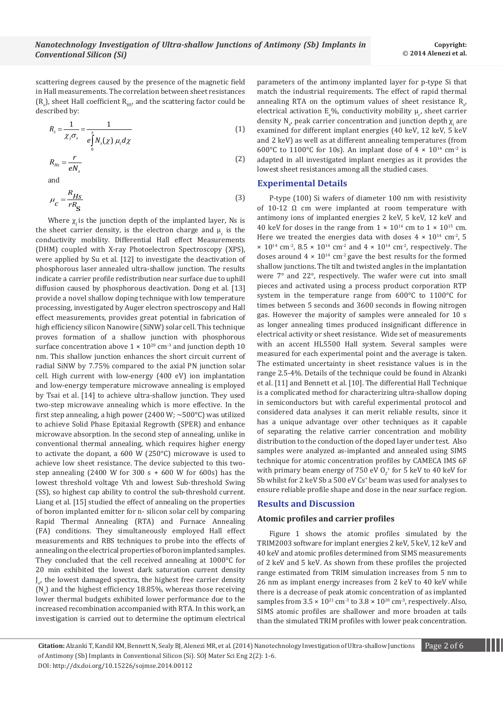scattering degrees caused by the presence of the magnetic field in Hall measurements. The correlation between sheet resistances  $\left\{ \mathsf{R}_{\mathsf{s}}\right\}$ , sheet Hall coefficient  $\mathsf{R}_{\mathsf{H}\mathsf{S}'}$  and the scattering factor could be described by:

$$
R_s = \frac{1}{\chi_j \sigma_s} = \frac{1}{e \int N_s(\chi) \mu_c d\chi}
$$
 (1)

$$
R_{Hs} = \frac{r}{eN_s} \tag{2}
$$

and

$$
\mu_c = \frac{R_{Hs}}{rR_S} \tag{3}
$$

Where  $\chi$  is the junction depth of the implanted layer, Ns is the sheet carrier density, is the electron charge and  $\mu_c$  is the conductivity mobility. Differential Hall effect Measurements (DHM) coupled with X-ray Photoelectron Spectroscopy (XPS), were applied by Su et al. [12] to investigate the deactivation of phosphorous laser annealed ultra-shallow junction. The results indicate a carrier profile redistribution near surface due to uphill diffusion caused by phosphorous deactivation. Dong et al. [13] provide a novel shallow doping technique with low temperature processing, investigated by Auger electron spectroscopy and Hall effect measurements, provides great potential in fabrication of high efficiency silicon Nanowire (SiNW) solar cell. This technique proves formation of a shallow junction with phosphorous surface concentration above  $1 \times 10^{20}$  cm<sup>-3</sup> and junction depth 10 nm. This shallow junction enhances the short circuit current of radial SiNW by 7.75% compared to the axial PN junction solar cell. High current with low-energy (400 eV) ion implantation and low-energy temperature microwave annealing is employed by Tsai et al. [14] to achieve ultra-shallow junction. They used two-step microwave annealing which is more effective. In the first step annealing, a high power (2400 W;  $\sim$  500 $^{\circ}$ C) was utilized to achieve Solid Phase Epitaxial Regrowth (SPER) and enhance microwave absorption. In the second step of annealing, unlike in conventional thermal annealing, which requires higher energy to activate the dopant, a 600 W (250°C) microwave is used to achieve low sheet resistance. The device subjected to this twostep annealing  $(2400 \text{ W}$  for  $300 \text{ s} + 600 \text{ W}$  for  $600 \text{s}$ ) has the lowest threshold voltage Vth and lowest Sub-threshold Swing (SS), so highest cap ability to control the sub-threshold current. Liang et al. [15] studied the effect of annealing on the properties of boron implanted emitter for n- silicon solar cell by comparing Rapid Thermal Annealing (RTA) and Furnace Annealing (FA) conditions. They simultaneously employed Hall effect measurements and RBS techniques to probe into the effects of annealing on the electrical properties of boron implanted samples. They concluded that the cell received annealing at 1000°C for 20 min exhibited the lowest dark saturation current density J o , the lowest damaged spectra, the highest free carrier density  $(N_s)$  and the highest efficiency 18.85%, whereas those receiving lower thermal budgets exhibited lower performance due to the increased recombination accompanied with RTA. In this work, an investigation is carried out to determine the optimum electrical

parameters of the antimony implanted layer for p-type Si that match the industrial requirements. The effect of rapid thermal annealing RTA on the optimum values of sheet resistance  $R_{s'}$ electrical activation  $E_a\%$ , conductivity mobility  $\mu_c$ , sheet carrier density  $N_{s'}$  peak carrier concentration and junction depth  $\chi_j$  are examined for different implant energies (40 keV, 12 keV, 5 keV and 2 keV) as well as at different annealing temperatures (from 600°C to 1100°C for 10s). An implant dose of  $4 \times 10^{14}$  cm<sup>-2</sup> is adapted in all investigated implant energies as it provides the lowest sheet resistances among all the studied cases.

## **Experimental Details**

P-type (100) Si wafers of diameter 100 nm with resistivity of 10-12  $\Omega$  cm were implanted at room temperature with antimony ions of implanted energies 2 keV, 5 keV, 12 keV and 40 keV for doses in the range from  $1 \times 10^{14}$  cm to  $1 \times 10^{15}$  cm. Here we treated the energies data with doses  $4 \times 10^{14}$  cm<sup>-2</sup>, 5  $\times$  10<sup>14</sup> cm<sup>-2</sup>, 8.5  $\times$  10<sup>14</sup> cm<sup>-2</sup> and 4  $\times$  10<sup>14</sup> cm<sup>-2</sup>, respectively. The doses around  $4 \times 10^{14}$  cm<sup>-2</sup> gave the best results for the formed shallow junctions. The tilt and twisted angles in the implantation were 7° and 22°, respectively. The wafer were cut into small pieces and activated using a process product corporation RTP system in the temperature range from 600°C to 1100°C for times between 5 seconds and 3600 seconds in flowing nitrogen gas. However the majority of samples were annealed for 10 s as longer annealing times produced insignificant difference in electrical activity or sheet resistance. Wide set of measurements with an accent HL5500 Hall system. Several samples were measured for each experimental point and the average is taken. The estimated uncertainty in sheet resistance values is in the range 2.5-4%. Details of the technique could be found in Alzanki et al. [11] and Bennett et al. [10]. The differential Hall Technique is a complicated method for characterizing ultra-shallow doping in semiconductors but with careful experimental protocol and considered data analyses it can merit reliable results, since it has a unique advantage over other techniques as it capable of separating the relative carrier concentration and mobility distribution to the conduction of the doped layer under test. Also samples were analyzed as-implanted and annealed using SIMS technique for atomic concentration profiles by CAMECA IMS 6F with primary beam energy of 750 eV  $O_2^*$  for 5 keV to 40 keV for Sb whilst for 2 keV Sb a 500 eV Cs<sup>+</sup> beam was used for analyses to ensure reliable profile shape and dose in the near surface region.

# **Results and Discussion**

## **Atomic profiles and carrier profiles**

Figure 1 shows the atomic profiles simulated by the TRIM2003 software for implant energies 2 keV, 5 keV, 12 keV and 40 keV and atomic profiles determined from SIMS measurements of 2 keV and 5 keV. As shown from these profiles the projected range estimated from TRIM simulation increases from 5 nm to 26 nm as implant energy increases from 2 keV to 40 keV while there is a decrease of peak atomic concentration of as implanted samples from  $3.5 \times 10^{21}$  cm<sup>-3</sup> to  $3.8 \times 10^{20}$  cm<sup>-3</sup>, respectively. Also, SIMS atomic profiles are shallower and more broaden at tails than the simulated TRIM profiles with lower peak concentration.

**Citation:** Alzanki T, Kandil KM, Bennett N, Sealy BJ, Alenezi MR, et al. (2014) Nanotechnology Investigation of Ultra-shallow Junctions Page 2 of 6 of Antimony (Sb) Implants in Conventional Silicon (Si). SOJ Mater Sci Eng 2(2): 1-6.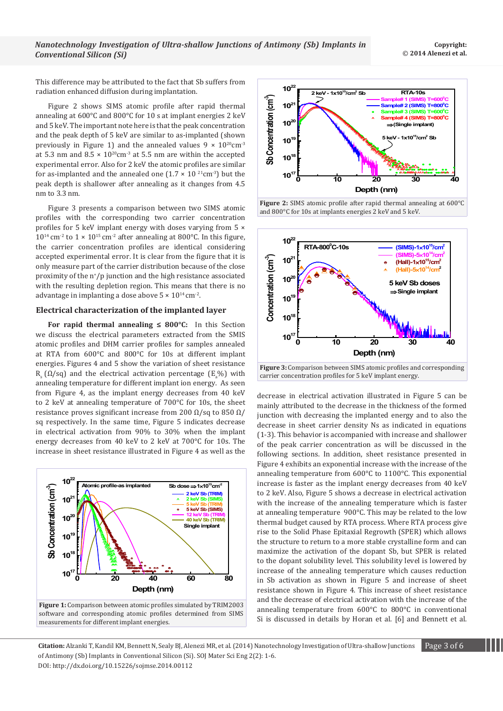This difference may be attributed to the fact that Sb suffers from radiation enhanced diffusion during implantation.

Figure 2 shows SIMS atomic profile after rapid thermal annealing at 600°C and 800°C for 10 s at implant energies 2 keV and 5 keV. The important note here is that the peak concentration and the peak depth of 5 keV are similar to as-implanted (shown previously in Figure 1) and the annealed values  $9 \times 10^{20}$ cm<sup>-3</sup> at 5.3 nm and  $8.5 \times 10^{20}$ cm<sup>-3</sup> at 5.5 nm are within the accepted experimental error. Also for 2 keV the atomic profiles are similar for as-implanted and the annealed one  $(1.7 \times 10^{21} \text{cm}^{-3})$  but the peak depth is shallower after annealing as it changes from 4.5 nm to 3.3 nm.

Figure 3 presents a comparison between two SIMS atomic profiles with the corresponding two carrier concentration profiles for 5 keV implant energy with doses varying from 5 ×  $10^{14}$  cm<sup>-2</sup> to  $1 \times 10^{15}$  cm<sup>-2</sup> after annealing at 800°C. In this figure, the carrier concentration profiles are identical considering accepted experimental error. It is clear from the figure that it is only measure part of the carrier distribution because of the close proximity of the n<sup>+</sup> /p junction and the high resistance associated with the resulting depletion region. This means that there is no advantage in implanting a dose above  $5 \times 10^{14}$  cm<sup>-2</sup>.

## **Electrical characterization of the implanted layer**

**For rapid thermal annealing ≤ 800°C:** In this Section we discuss the electrical parameters extracted from the SMIS atomic profiles and DHM carrier profiles for samples annealed at RTA from 600°C and 800°C for 10s at different implant energies. Figures 4 and 5 show the variation of sheet resistance  $R_s$  ( $\Omega$ /sq) and the electrical activation percentage ( $E_a$ %) with annealing temperature for different implant ion energy. As seen from Figure 4, as the implant energy decreases from 40 keV to 2 keV at annealing temperature of 700°C for 10s, the sheet resistance proves significant increase from 200  $\Omega$ /sq to 850  $\Omega$ / sq respectively. In the same time, Figure 5 indicates decrease in electrical activation from 90% to 30% when the implant energy decreases from 40 keV to 2 keV at 700°C for 10s. The increase in sheet resistance illustrated in Figure 4 as well as the



**Figure 1:** Comparison between atomic profiles simulated by TRIM2003 software and corresponding atomic profiles determined from SIMS measurements for different implant energies.



**Figure 2:** SIMS atomic profile after rapid thermal annealing at 600°C and 800°C for 10s at implants energies 2 keV and 5 keV.



**Figure 3:** Comparison between SIMS atomic profiles and corresponding carrier concentration profiles for 5 keV implant energy.

decrease in electrical activation illustrated in Figure 5 can be mainly attributed to the decrease in the thickness of the formed junction with decreasing the implanted energy and to also the decrease in sheet carrier density Ns as indicated in equations (1-3). This behavior is accompanied with increase and shallower of the peak carrier concentration as will be discussed in the following sections. In addition, sheet resistance presented in Figure 4 exhibits an exponential increase with the increase of the annealing temperature from 600°C to 1100°C. This exponential increase is faster as the implant energy decreases from 40 keV to 2 keV. Also, Figure 5 shows a decrease in electrical activation with the increase of the annealing temperature which is faster at annealing temperature 900°C. This may be related to the low thermal budget caused by RTA process. Where RTA process give rise to the Solid Phase Epitaxial Regrowth (SPER) which allows the structure to return to a more stable crystalline form and can maximize the activation of the dopant Sb, but SPER is related to the dopant solubility level. This solubility level is lowered by increase of the annealing temperature which causes reduction in Sb activation as shown in Figure 5 and increase of sheet resistance shown in Figure 4. This increase of sheet resistance and the decrease of electrical activation with the increase of the annealing temperature from 600°C to 800°C in conventional Si is discussed in details by Horan et al. [6] and Bennett et al.

**Citation:** Alzanki T, Kandil KM, Bennett N, Sealy BJ, Alenezi MR, et al. (2014) Nanotechnology Investigation of Ultra-shallow Junctions Page 3 of 6 of Antimony (Sb) Implants in Conventional Silicon (Si). SOJ Mater Sci Eng 2(2): 1-6. DOI: http://dx.doi.org/10.15226/sojmse.2014.00112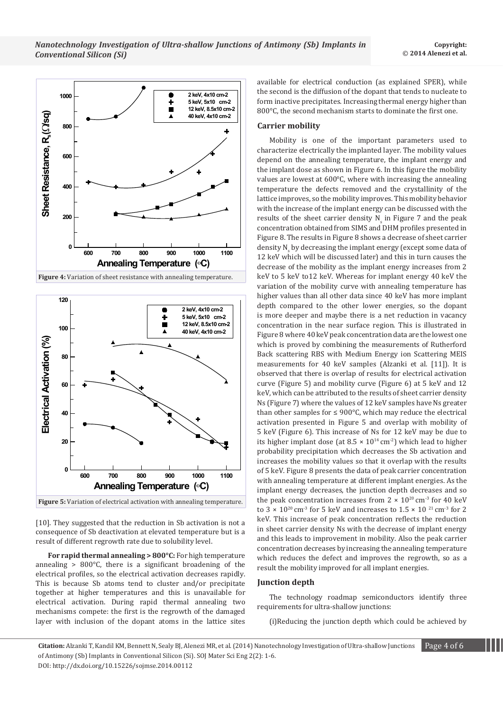



[10]. They suggested that the reduction in Sb activation is not a consequence of Sb deactivation at elevated temperature but is a result of different regrowth rate due to solubility level.

**For rapid thermal annealing > 800°C:** For high temperature annealing > 800°C, there is a significant broadening of the electrical profiles, so the electrical activation decreases rapidly. This is because Sb atoms tend to cluster and/or precipitate together at higher temperatures and this is unavailable for electrical activation. During rapid thermal annealing two mechanisms compete: the first is the regrowth of the damaged layer with inclusion of the dopant atoms in the lattice sites available for electrical conduction (as explained SPER), while the second is the diffusion of the dopant that tends to nucleate to form inactive precipitates. Increasing thermal energy higher than 800°C, the second mechanism starts to dominate the first one.

# **Carrier mobility**

Mobility is one of the important parameters used to characterize electrically the implanted layer. The mobility values depend on the annealing temperature, the implant energy and the implant dose as shown in Figure 6. In this figure the mobility values are lowest at 600°C, where with increasing the annealing temperature the defects removed and the crystallinity of the lattice improves, so the mobility improves. This mobility behavior with the increase of the implant energy can be discussed with the results of the sheet carrier density  $N_{\rm s}$  in Figure 7 and the peak concentration obtained from SIMS and DHM profiles presented in Figure 8. The results in Figure 8 shows a decrease of sheet carrier density N<sub>s</sub> by decreasing the implant energy (except some data of 12 keV which will be discussed later) and this in turn causes the decrease of the mobility as the implant energy increases from 2 keV to 5 keV to12 keV. Whereas for implant energy 40 keV the variation of the mobility curve with annealing temperature has higher values than all other data since 40 keV has more implant depth compared to the other lower energies, so the dopant is more deeper and maybe there is a net reduction in vacancy concentration in the near surface region. This is illustrated in Figure 8 where 40 keV peak concentration data are the lowest one which is proved by combining the measurements of Rutherford Back scattering RBS with Medium Energy ion Scattering MEIS measurements for 40 keV samples (Alzanki et al. [11]). It is observed that there is overlap of results for electrical activation curve (Figure 5) and mobility curve (Figure 6) at 5 keV and 12 keV, which can be attributed to the results of sheet carrier density Ns (Figure 7) where the values of 12 keV samples have Ns greater than other samples for  $\leq 900^{\circ}$ C, which may reduce the electrical activation presented in Figure 5 and overlap with mobility of 5 keV (Figure 6). This increase of Ns for 12 keV may be due to its higher implant dose (at  $8.5 \times 10^{14}$  cm<sup>-2</sup>) which lead to higher probability precipitation which decreases the Sb activation and increases the mobility values so that it overlap with the results of 5 keV. Figure 8 presents the data of peak carrier concentration with annealing temperature at different implant energies. As the implant energy decreases, the junction depth decreases and so the peak concentration increases from  $2 \times 10^{20}$  cm<sup>-3</sup> for 40 keV to 3  $\times$  10<sup>20</sup> cm<sup>-3</sup> for 5 keV and increases to 1.5  $\times$  10<sup>21</sup> cm<sup>-3</sup> for 2 keV. This increase of peak concentration reflects the reduction in sheet carrier density Ns with the decrease of implant energy and this leads to improvement in mobility. Also the peak carrier concentration decreases by increasing the annealing temperature which reduces the defect and improves the regrowth, so as a result the mobility improved for all implant energies.

## **Junction depth**

The technology roadmap semiconductors identify three requirements for ultra-shallow junctions:

(i)Reducing the junction depth which could be achieved by

**Citation:** Alzanki T, Kandil KM, Bennett N, Sealy BJ, Alenezi MR, et al. (2014) Nanotechnology Investigation of Ultra-shallow Junctions Page 4 of 6 of Antimony (Sb) Implants in Conventional Silicon (Si). SOJ Mater Sci Eng 2(2): 1-6. DOI: http://dx.doi.org/10.15226/sojmse.2014.00112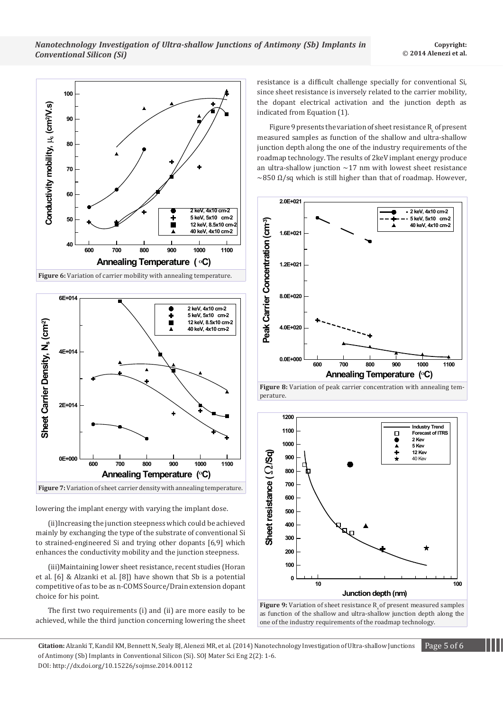



lowering the implant energy with varying the implant dose.

(ii)Increasing the junction steepness which could be achieved mainly by exchanging the type of the substrate of conventional Si to strained-engineered Si and trying other dopants [6,9] which enhances the conductivity mobility and the junction steepness.

(iii)Maintaining lower sheet resistance, recent studies (Horan et al. [6] & Alzanki et al. [8]) have shown that Sb is a potential competitive of as to be as n-COMS Source/Drain extension dopant choice for his point.

The first two requirements (i) and (ii) are more easily to be achieved, while the third junction concerning lowering the sheet resistance is a difficult challenge specially for conventional Si, since sheet resistance is inversely related to the carrier mobility, the dopant electrical activation and the junction depth as indicated from Equation (1).

Figure 9 presents the variation of sheet resistance  $\mathrm{R}_{\mathrm{s}}$  of present measured samples as function of the shallow and ultra-shallow junction depth along the one of the industry requirements of the roadmap technology. The results of 2keV implant energy produce an ultra-shallow junction  $~17$  nm with lowest sheet resistance  $\sim$ 850  $\Omega$ /sq which is still higher than that of roadmap. However,









**Citation:** Alzanki T, Kandil KM, Bennett N, Sealy BJ, Alenezi MR, et al. (2014) Nanotechnology Investigation of Ultra-shallow Junctions Page 5 of 6 of Antimony (Sb) Implants in Conventional Silicon (Si). SOJ Mater Sci Eng 2(2): 1-6. DOI: http://dx.doi.org/10.15226/sojmse.2014.00112